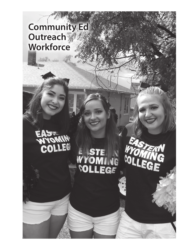# **Community Ed Outreach Workforce**

COLLEG

# ENSTE<br>WYOMING<br>COLLEGE

**COLLE** 

169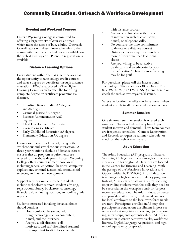# Community Education, Outreach & Workforce Development

#### Evening and Weekend Courses

Eastern Wyoming College is committed to offering a large variety of courses at times which meet the needs of busy adults. Outreach Coordinators will disseminate schedules to their community members. Schedules are available on the web at ewc.wy.edu. Phone-in registration is available.

#### Distance Learning Options

Every student within the EWC service area has the opportunity to take college credit courses and earn a degree or certificate through distance education. EWC is approved by The Higher Learning Commission to offer the following complete degree or certificate programs via distance.

- Fredisciplinary Studies AA degree<br>
 Criminal Justice AA degree<br>
 Business Administration AAS<br>
 degree<br>
 Child Development Certificate<br>
 Corrections Certificate
- 
- 
- 
- 
- Early Childhood Education AA degree
- Elementary Education AA degree

Classes are offered via Internet, using both synchronous and asynchronous interaction. A three year rotation schedule of distance classes ensures that all program requirements are offered for the above degrees. Eastern Wyoming College offers courses in many core areas including general education, business, computer applications, criminal justice, education, social sciences, and human development.

Support services available to help students include technology support, student advising, registration, library, bookstore, counseling, financial aid, online registration, and online grade reports.

Students interested in taking distance classes should consider:

- How comfortable are you with using technology such as computers,
- e-mail, and the Internet?<br>
Are you a self-directed, self-<br>
motivated, and self-disciplined student? It is important to stick to a schedule

- with distance courses.<br>
Are you comfortable with forms<br>
of interaction such as chat rooms,<br>
e-mail, or telephone calls?<br>
Do you have the time commitment
- to devote to a distance course? Distance courses require as much or
- more of your time than traditional<br>classes.<br>Are you willing to be an active<br>participant and an advocate for your own education? Then distance learning may be for you!

For questions, please call the Instructional Technology Office at either (307) 534.2912 or 877.392.4678 (877.EWC.INST) menu item 3 or check the web at ewc.wy.edu/distance.

Veteran education benefits may be adjusted when student enrolls in all distance education courses.

#### Summer Session

One six-week summer session is offered each summer. Classes scheduled vary based upon student interest and demand. Short-term courses are frequently scheduled. Contact Registration and Records to request a summer schedule, or check on the web at ewc.wy.edu.

#### Adult Education

The Adult Education (AE) program at Eastern Wyoming College has offices throughout the service area. In Torrington, AE facilities are located in the Center for Tutoring and Learning. With the passage of the Workforce Innovations and Opportunities ACT (WIOA), Adult Education is no longer a high school equivalency program. Instead, AE is a career pathways center focusing on providing students with the skills they need to be successful in the workplace and/or for postsecondary education. The Adult Education center also provides tailor made, on demand courses for local employers so the local workforce needs are met. Participants enrolled in AE may also participate in concurrent enrollment in post-secondary education, distance learning, job shadowing, internships, and apprenticeships. AE offers instruction in career pathways tracks, workforce literacy, English Language Acquisition, and high school equivalency preparation.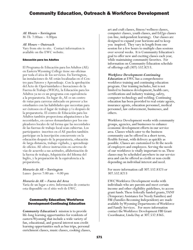## Community Education, Outreach & Workforce Development

*AE Hours – Torrington* M-Th 7:00am – 4:00pm

#### *AE Hours – Outreach*

Vary from site to site. Contact information is available on the EWC website.

#### Educación para los Adultos

El Programa de Educación para los Adultos (AE) en Eastern Wyoming College tiene sus oficinas por toda el área de los servicios. En Torrington, las instalaciones de AE están localizadas en el Cen- tro para Tutores y Aprendizaje. Con la aprobación del Acto de Oportunidades e Inovaciones de la Fuerza de Trabajo (WIOA), la Educación para los Adultos ya no es un programa con equivalencia a la preparatoria. En lugar de, AE es un centro de rutas para carreras enfocado en proveer a los estudiantes con las habilidades que necesitan para ser éxitosos en el lugar de trabajo y/o después de la preparatoria. El centro de Educación para los Adultos también proporciona adapataciones a las necesidades, en cursos demandantes por los em- pleadores locales de tal forma que las necesidades de las fuerzas de trabajo local sean cubiertas. Los participantes inscritos en el AE pueden también participar en la inscripción concurrente en la educación después de la preparatoria, educación de larga distancia, trabajo vigilado, y aprendizaje de oficios. AE ofrece instrucción en carreras de vías de acuerdo a sus actitudes, alfabetización de la fuerza de trabajo, Adquisición del Idioma del Inglés, y la preparación de la equivalencia a la preparatoria.

*Horario de AE – Torrington* Lunes -Jueves 7:00 am – 4:00 pm

#### *Horario de AE – Fuera del Area*

Varía de un lugar a otro. Información de contacto esta disponible en el sitio web de EWC.

#### Community Education/Workforce Development-Continuing Education

*Community Education's* mission is to provide life-long learning opportunities for residents of eastern Wyoming that include a wide variety of fun, educational, and general interest non-credit learning opportunities such as bus trips, personal enrichment classes, music classes, cooking classes, art and craft classes, fitness/wellness classes, computer classes, youth classes, and Ed2go classes (on-line, independent learning). Our classes are designed to expand your horizons and to keep you inspired. They vary in length from one session for a few hours to multiple class sessions over several weeks. It is Community Education's goal to offer new and exciting classes each year, while maintaining community favorites. For information on Community Education schedule of offerings call (307) 532.8213.

#### *Workforce Development-Continuing*

*Education* at EWC has a comprehensive workforce training and continuing education program. Our training includes, but is not limited to business development, health care, certifications and industry training, safety, computer technology and welding. Continuing education has been provided to real estate agents, insurance agents, education personnel, medical personnel, law enforcement, businesses, and others.

Workforce Development works with community groups, agencies, and businesses to enhance economic development efforts in our service area. Classes which cater to the business community can be offered in a short term, flexible format, with delivery as quickly as possible. Classes are customized to fit the needs of employers and employees. Serving the needs of our workforce is vitally important to us. These classes may be scheduled anywhere in our service area and can be offered as credit or non-credit depending on individual interest and need.

For more information call 307.532.8323 or 307.532.8213

EWC Workforce Development works with individuals who are parents and meet certain income and other eligibility guidelines, to access grant funds. These federally funded grants, TANF (Temporary Assistance for Needy Families) and FBI (Families Becoming Independent) are made available by Wyoming Departments of Workforce and Family Services. For more information contact the Workforce Development FBI Grant Coordinator, Linda Day at 307.532.8365.